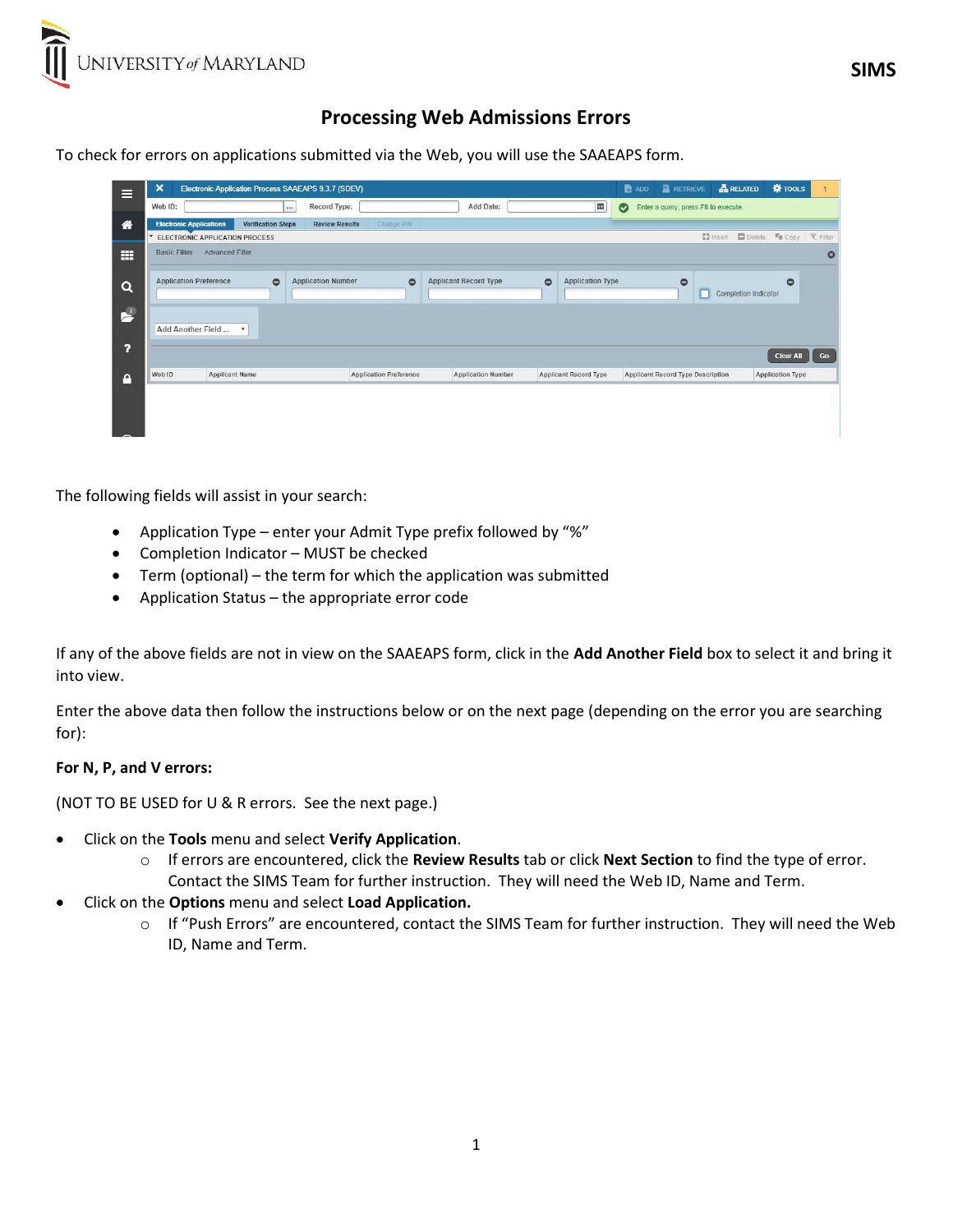## Processing Web Admissions Errors

To check for errors on applications submitted via the Web, you will use the SAAEAPS form.

| Е              | $\boldsymbol{\mathsf{x}}$<br>Electronic Application Process SAAEAPS 9.3.7 (SDEV)                          |           |                           |                               |                              |                                      | <b>B</b> ADD                        | <b>ARELATED</b><br><b>E</b> RETRIEVE | <b>W</b> TOOLS                                |                         |  |
|----------------|-----------------------------------------------------------------------------------------------------------|-----------|---------------------------|-------------------------------|------------------------------|--------------------------------------|-------------------------------------|--------------------------------------|-----------------------------------------------|-------------------------|--|
|                | Web ID:<br>$\cdots$                                                                                       |           | Record Type:              | E<br>Add Date:                |                              | $\bullet$                            | Enter a query; press F8 to execute. |                                      |                                               |                         |  |
| 省              | <b>Verification Steps</b><br>Change PIN<br><b>Electronic Applications</b><br><b>Review Results</b>        |           |                           |                               |                              |                                      |                                     |                                      |                                               |                         |  |
|                | Delete<br><b>Y</b> , Filter<br><b>D</b> Insert<br><sup>F</sup> ill Copy<br>ELECTRONIC APPLICATION PROCESS |           |                           |                               |                              |                                      |                                     |                                      |                                               |                         |  |
| m              | <b>Advanced Filter</b><br><b>Basic Filter</b><br>$\boldsymbol{\omega}$                                    |           |                           |                               |                              |                                      |                                     |                                      |                                               |                         |  |
| Q              | <b>Application Preference</b>                                                                             | $\bullet$ | <b>Application Number</b> | $\bullet$                     | <b>Applicant Record Type</b> | $\bullet$<br><b>Application Type</b> |                                     | $\bullet$                            | $\ddot{\circ}$<br><b>Completion Indicator</b> |                         |  |
| $\mathbf{r}^2$ | Add Another Field<br>$\boldsymbol{\mathrm{v}}$                                                            |           |                           |                               |                              |                                      |                                     |                                      |                                               |                         |  |
| ?              |                                                                                                           |           |                           |                               |                              |                                      |                                     |                                      | <b>Clear All</b>                              | Go                      |  |
| A              | Web ID<br><b>Applicant Name</b>                                                                           |           |                           | <b>Application Preference</b> | <b>Application Number</b>    | <b>Applicant Record Type</b>         |                                     | Applicant Record Type Description    |                                               | <b>Application Type</b> |  |
|                |                                                                                                           |           |                           |                               |                              |                                      |                                     |                                      |                                               |                         |  |

The following fields will assist in your search:

- Application Type enter your Admit Type prefix followed by "%"
- Completion Indicator MUST be checked
- Term (optional) the term for which the application was submitted
- Application Status the appropriate error code

If any of the above fields are not in view on the SAAEAPS form, click in the Add Another Field box to select it and bring it into view.

Enter the above data then follow the instructions below or on the next page (depending on the error you are searching for):

## For N, P, and V errors:

(NOT TO BE USED for U & R errors. See the next page.)

- Click on the Tools menu and select Verify Application.
	- o If errors are encountered, click the Review Results tab or click Next Section to find the type of error. Contact the SIMS Team for further instruction. They will need the Web ID, Name and Term.
- Click on the Options menu and select Load Application.
	- o If "Push Errors" are encountered, contact the SIMS Team for further instruction. They will need the Web ID, Name and Term.